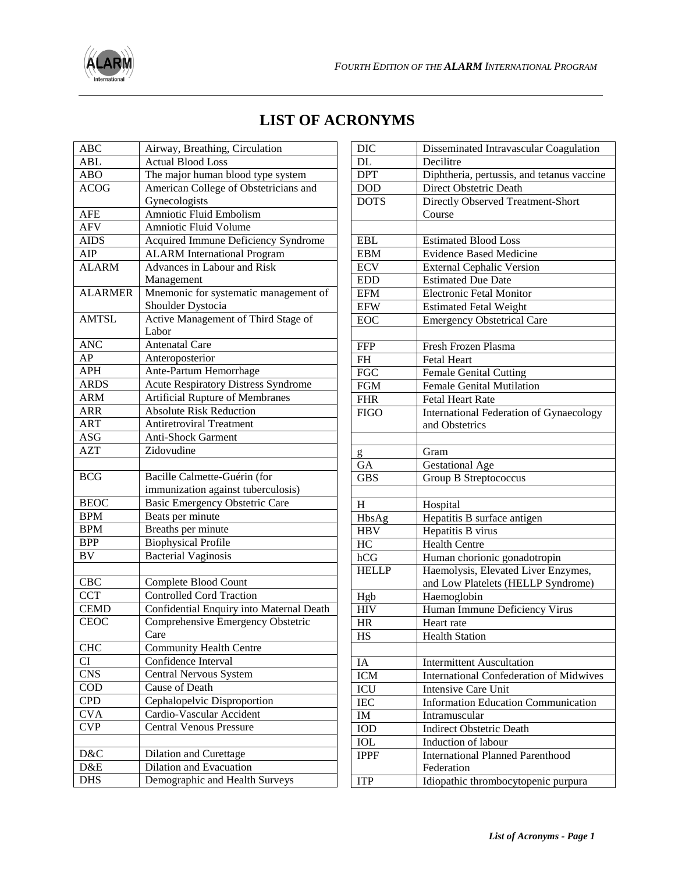

## **LIST OF ACRONYMS**

| <b>ABC</b>       | Airway, Breathing, Circulation             |
|------------------|--------------------------------------------|
| ABL              | <b>Actual Blood Loss</b>                   |
| <b>ABO</b>       | The major human blood type system          |
| <b>ACOG</b>      | American College of Obstetricians and      |
|                  | Gynecologists                              |
| <b>AFE</b>       | <b>Amniotic Fluid Embolism</b>             |
| <b>AFV</b>       | Amniotic Fluid Volume                      |
| AIDS             | Acquired Immune Deficiency Syndrome        |
| AIP              | <b>ALARM</b> International Program         |
| <b>ALARM</b>     | Advances in Labour and Risk                |
|                  | Management                                 |
| <b>ALARMER</b>   | Mnemonic for systematic management of      |
|                  | Shoulder Dystocia                          |
| <b>AMTSL</b>     | Active Management of Third Stage of        |
|                  | Labor                                      |
| <b>ANC</b>       | <b>Antenatal Care</b>                      |
| AP               | Anteroposterior                            |
| <b>APH</b>       | Ante-Partum Hemorrhage                     |
| <b>ARDS</b>      | <b>Acute Respiratory Distress Syndrome</b> |
| <b>ARM</b>       | Artificial Rupture of Membranes            |
| <b>ARR</b>       | <b>Absolute Risk Reduction</b>             |
| <b>ART</b>       | <b>Antiretroviral Treatment</b>            |
| <b>ASG</b>       | Anti-Shock Garment                         |
| $\overline{AZT}$ | Zidovudine                                 |
|                  |                                            |
| BCG              | Bacille Calmette-Guérin (for               |
|                  | immunization against tuberculosis)         |
| <b>BEOC</b>      | <b>Basic Emergency Obstetric Care</b>      |
| <b>BPM</b>       | Beats per minute                           |
| <b>BPM</b>       | Breaths per minute                         |
| <b>BPP</b>       | <b>Biophysical Profile</b>                 |
| <b>BV</b>        | <b>Bacterial Vaginosis</b>                 |
|                  |                                            |
| <b>CBC</b>       | Complete Blood Count                       |
| <b>CCT</b>       | <b>Controlled Cord Traction</b>            |
| <b>CEMD</b>      | Confidential Enquiry into Maternal Death   |
| <b>CEOC</b>      | Comprehensive Emergency Obstetric          |
|                  | Care                                       |
| <b>CHC</b>       | <b>Community Health Centre</b>             |
| CI               | Confidence Interval                        |
| <b>CNS</b>       | <b>Central Nervous System</b>              |
| COD              | Cause of Death                             |
| <b>CPD</b>       | Cephalopelvic Disproportion                |
| <b>CVA</b>       | Cardio-Vascular Accident                   |
| <b>CVP</b>       | <b>Central Venous Pressure</b>             |
|                  |                                            |
| D&C              | Dilation and Curettage                     |
| D&E              | <b>Dilation and Evacuation</b>             |
| <b>DHS</b>       | Demographic and Health Surveys             |

| <b>DIC</b>   | Disseminated Intravascular Coagulation         |
|--------------|------------------------------------------------|
| DL           | Decilitre                                      |
| <b>DPT</b>   | Diphtheria, pertussis, and tetanus vaccine     |
| <b>DOD</b>   | Direct Obstetric Death                         |
| <b>DOTS</b>  | <b>Directly Observed Treatment-Short</b>       |
|              | Course                                         |
|              |                                                |
| <b>EBL</b>   | <b>Estimated Blood Loss</b>                    |
| <b>EBM</b>   | <b>Evidence Based Medicine</b>                 |
| <b>ECV</b>   | <b>External Cephalic Version</b>               |
| <b>EDD</b>   | <b>Estimated Due Date</b>                      |
| <b>EFM</b>   | <b>Electronic Fetal Monitor</b>                |
| <b>EFW</b>   | <b>Estimated Fetal Weight</b>                  |
| <b>EOC</b>   | <b>Emergency Obstetrical Care</b>              |
|              |                                                |
| <b>FFP</b>   | Fresh Frozen Plasma                            |
| <b>FH</b>    | <b>Fetal Heart</b>                             |
| <b>FGC</b>   | <b>Female Genital Cutting</b>                  |
| <b>FGM</b>   | <b>Female Genital Mutilation</b>               |
| <b>FHR</b>   | <b>Fetal Heart Rate</b>                        |
| <b>FIGO</b>  | International Federation of Gynaecology        |
|              | and Obstetrics                                 |
|              |                                                |
| g            | Gram                                           |
| GA           | <b>Gestational Age</b>                         |
| <b>GBS</b>   | Group B Streptococcus                          |
|              |                                                |
| H            | Hospital                                       |
| HbsAg        | Hepatitis B surface antigen                    |
| HBV          | Hepatitis B virus                              |
| HC           | <b>Health Centre</b>                           |
| hCG          | Human chorionic gonadotropin                   |
| <b>HELLP</b> | Haemolysis, Elevated Liver Enzymes,            |
|              | and Low Platelets (HELLP Syndrome)             |
| Hgb          | Haemoglobin                                    |
| <b>HIV</b>   | Human Immune Deficiency Virus                  |
| <b>HR</b>    | Heart rate                                     |
| HS           | <b>Health Station</b>                          |
|              |                                                |
| IA           | <b>Intermittent Auscultation</b>               |
| <b>ICM</b>   | <b>International Confederation of Midwives</b> |
| ICU          | <b>Intensive Care Unit</b>                     |
| <b>IEC</b>   | <b>Information Education Communication</b>     |
| IM           | Intramuscular                                  |
| IOD          | <b>Indirect Obstetric Death</b>                |
|              | Induction of labour                            |
| IOL          |                                                |
| <b>IPPF</b>  | <b>International Planned Parenthood</b>        |
|              | Federation                                     |
| <b>ITP</b>   | Idiopathic thrombocytopenic purpura            |